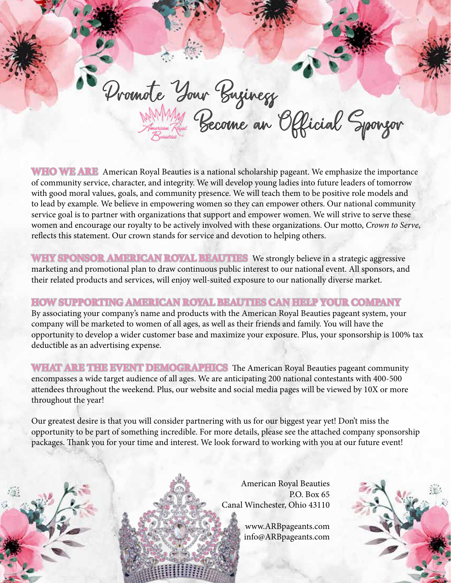Promote Your Business<br>Annual Become an Official Sponsor

**WHO WE ARE** American Royal Beauties is a national scholarship pageant. We emphasize the importance of community service, character, and integrity. We will develop young ladies into future leaders of tomorrow with good moral values, goals, and community presence. We will teach them to be positive role models and to lead by example. We believe in empowering women so they can empower others. Our national community service goal is to partner with organizations that support and empower women. We will strive to serve these

women and encourage our royalty to be actively involved with these organizations. Our motto, *Crown to Serve*, reflects this statement. Our crown stands for service and devotion to helping others.

**WHY SPONSOR AMERICAN ROYAL BEAUTIES** We strongly believe in a strategic aggressive marketing and promotional plan to draw continuous public interest to our national event. All sponsors, and their related products and services, will enjoy well-suited exposure to our nationally diverse market.

# **HOW SUPPORTING AMERICAN ROYAL BEAUTIES CAN HELP YOUR COMPANY**

By associating your company's name and products with the American Royal Beauties pageant system, your company will be marketed to women of all ages, as well as their friends and family. You will have the opportunity to develop a wider customer base and maximize your exposure. Plus, your sponsorship is 100% tax deductible as an advertising expense.

**WHAT ARE THE EVENT DEMOGRAPHICS** The American Royal Beauties pageant community encompasses a wide target audience of all ages. We are anticipating 200 national contestants with 400-500 attendees throughout the weekend. Plus, our website and social media pages will be viewed by 10X or more throughout the year!

Our greatest desire is that you will consider partnering with us for our biggest year yet! Don't miss the opportunity to be part of something incredible. For more details, please see the attached company sponsorship packages. Thank you for your time and interest. We look forward to working with you at our future event!



American Royal Beauties P.O. Box 65 Canal Winchester, Ohio 43110

> www.ARBpageants.com info@ARBpageants.com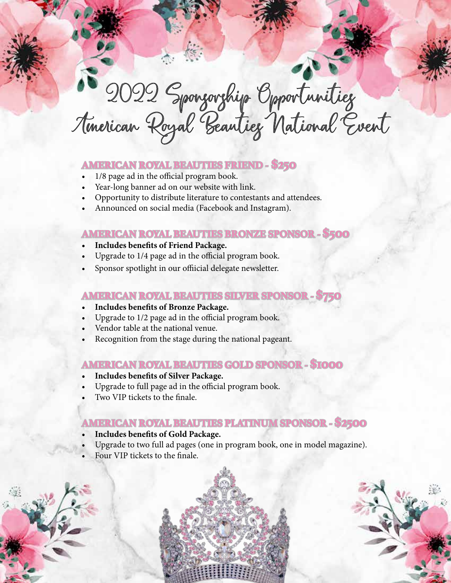2022 Sponsorship Opportunities American Royal Beauties National Event

#### **AMERICAN ROYAL BEAUTIES FRIEND - \$250**

- 1/8 page ad in the official program book.
- Year-long banner ad on our website with link.
- Opportunity to distribute literature to contestants and attendees.
- Announced on social media (Facebook and Instagram).

### **AMERICAN ROYAL BEAUTIES BRONZE SPONSOR - \$500**

- **• Includes benefits of Friend Package.**
- Upgrade to 1/4 page ad in the official program book.
- Sponsor spotlight in our offiicial delegate newsletter.

### **AMERICAN ROYAL BEAUTIES SILVER SPONSOR - \$750**

- **• Includes benefits of Bronze Package.**
- Upgrade to 1/2 page ad in the official program book.
- Vendor table at the national venue.
- Recognition from the stage during the national pageant.

# **AMERICAN ROYAL BEAUTIES GOLD SPONSOR - \$1000**

- **• Includes benefits of Silver Package.**
- Upgrade to full page ad in the official program book.
- Two VIP tickets to the finale.

# **AMERICAN ROYAL BEAUTIES PLATINUM SPONSOR - \$2500**

- **• Includes benefits of Gold Package.**
- Upgrade to two full ad pages (one in program book, one in model magazine).
- Four VIP tickets to the finale.